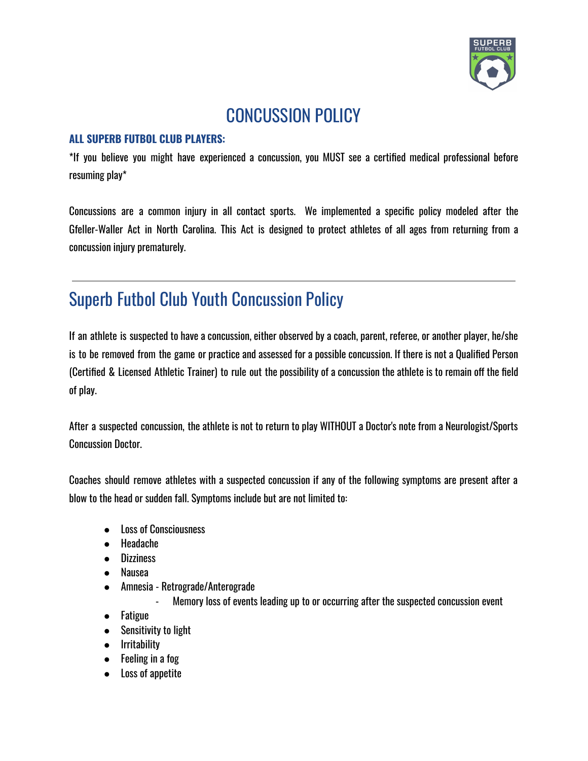

## CONCUSSION POLICY

## **ALL SUPERB FUTBOL CLUB PLAYERS:**

\*If you believe you might have experienced a concussion, you MUST see a certified medical professional before resuming play\*

Concussions are a common injury in all contact sports. We implemented a specific policy modeled after the Gfeller-Waller Act in North Carolina. This Act is designed to protect athletes of all ages from returning from a concussion injury prematurely.

## Superb Futbol Club Youth Concussion Policy

If an athlete is suspected to have a concussion, either observed by a coach, parent, referee, or another player, he/she is to be removed from the game or practice and assessed for a possible concussion. If there is not a Qualified Person (Certified & Licensed Athletic Trainer) to rule out the possibility of a concussion the athlete is to remain off the field of play.

After a suspected concussion, the athlete is not to return to play WITHOUT a Doctor's note from a Neurologist/Sports Concussion Doctor.

Coaches should remove athletes with a suspected concussion if any of the following symptoms are present after a blow to the head or sudden fall. Symptoms include but are not limited to:

- Loss of Consciousness
- Headache
- Dizziness
- Nausea
- Amnesia Retrograde/Anterograde
	- Memory loss of events leading up to or occurring after the suspected concussion event
- Fatigue
- Sensitivity to light
- Irritability
- Feeling in a fog
- Loss of appetite